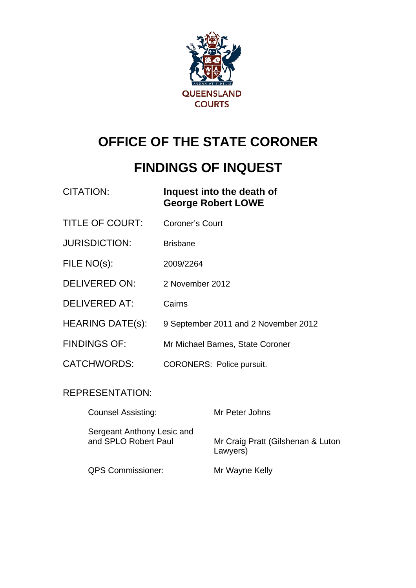

# **OFFICE OF THE STATE CORONER**

# **FINDINGS OF INQUEST**

| CITATION: | Inquest into the death of |
|-----------|---------------------------|
|           | <b>George Robert LOWE</b> |

- TITLE OF COURT: Coroner's Court
- JURISDICTION: Brisbane
- FILE NO(s): 2009/2264
- DELIVERED ON: 2 November 2012
- DELIVERED AT: Cairns
- HEARING DATE(s): 9 September 2011 and 2 November 2012
- FINDINGS OF: Mr Michael Barnes, State Coroner
- CATCHWORDS: CORONERS: Police pursuit.

#### REPRESENTATION:

| <b>Counsel Assisting:</b>                          | Mr Peter Johns                                |
|----------------------------------------------------|-----------------------------------------------|
| Sergeant Anthony Lesic and<br>and SPLO Robert Paul | Mr Craig Pratt (Gilshenan & Luton<br>Lawyers) |
| <b>QPS Commissioner:</b>                           | Mr Wayne Kelly                                |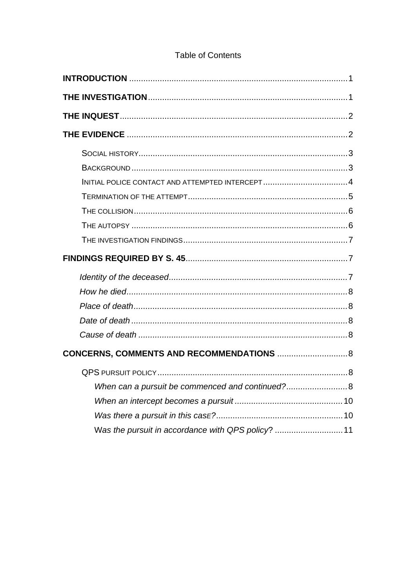# Table of Contents

| INITIAL POLICE CONTACT AND ATTEMPTED INTERCEPT4    |  |
|----------------------------------------------------|--|
|                                                    |  |
|                                                    |  |
|                                                    |  |
|                                                    |  |
|                                                    |  |
|                                                    |  |
|                                                    |  |
|                                                    |  |
|                                                    |  |
|                                                    |  |
| CONCERNS, COMMENTS AND RECOMMENDATIONS  8          |  |
|                                                    |  |
| When can a pursuit be commenced and continued?8    |  |
|                                                    |  |
|                                                    |  |
| Was the pursuit in accordance with QPS policy?  11 |  |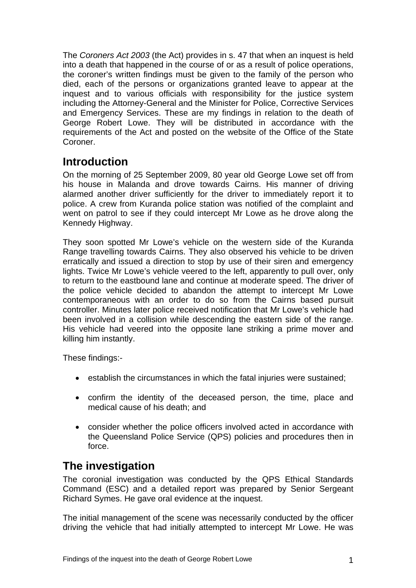<span id="page-2-0"></span>The *Coroners Act 2003* (the Act) provides in s. 47 that when an inquest is held into a death that happened in the course of or as a result of police operations, the coroner's written findings must be given to the family of the person who died, each of the persons or organizations granted leave to appear at the inquest and to various officials with responsibility for the justice system including the Attorney-General and the Minister for Police, Corrective Services and Emergency Services. These are my findings in relation to the death of George Robert Lowe. They will be distributed in accordance with the requirements of the Act and posted on the website of the Office of the State Coroner.

## **Introduction**

On the morning of 25 September 2009, 80 year old George Lowe set off from his house in Malanda and drove towards Cairns. His manner of driving alarmed another driver sufficiently for the driver to immediately report it to police. A crew from Kuranda police station was notified of the complaint and went on patrol to see if they could intercept Mr Lowe as he drove along the Kennedy Highway.

They soon spotted Mr Lowe's vehicle on the western side of the Kuranda Range travelling towards Cairns. They also observed his vehicle to be driven erratically and issued a direction to stop by use of their siren and emergency lights. Twice Mr Lowe's vehicle veered to the left, apparently to pull over, only to return to the eastbound lane and continue at moderate speed. The driver of the police vehicle decided to abandon the attempt to intercept Mr Lowe contemporaneous with an order to do so from the Cairns based pursuit controller. Minutes later police received notification that Mr Lowe's vehicle had been involved in a collision while descending the eastern side of the range. His vehicle had veered into the opposite lane striking a prime mover and killing him instantly.

These findings:-

- establish the circumstances in which the fatal injuries were sustained;
- confirm the identity of the deceased person, the time, place and medical cause of his death; and
- consider whether the police officers involved acted in accordance with the Queensland Police Service (QPS) policies and procedures then in force.

# **The investigation**

The coronial investigation was conducted by the QPS Ethical Standards Command (ESC) and a detailed report was prepared by Senior Sergeant Richard Symes. He gave oral evidence at the inquest.

The initial management of the scene was necessarily conducted by the officer driving the vehicle that had initially attempted to intercept Mr Lowe. He was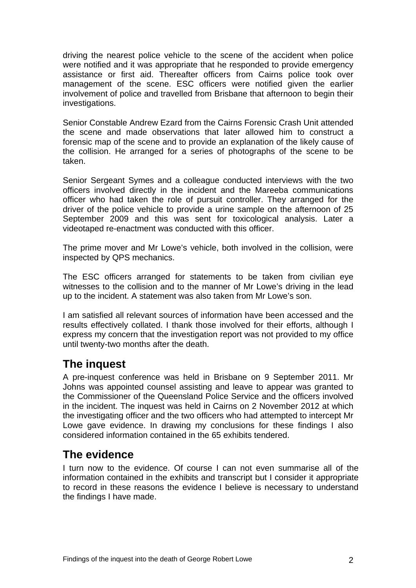<span id="page-3-0"></span>driving the nearest police vehicle to the scene of the accident when police were notified and it was appropriate that he responded to provide emergency assistance or first aid. Thereafter officers from Cairns police took over management of the scene. ESC officers were notified given the earlier involvement of police and travelled from Brisbane that afternoon to begin their investigations.

Senior Constable Andrew Ezard from the Cairns Forensic Crash Unit attended the scene and made observations that later allowed him to construct a forensic map of the scene and to provide an explanation of the likely cause of the collision. He arranged for a series of photographs of the scene to be taken.

Senior Sergeant Symes and a colleague conducted interviews with the two officers involved directly in the incident and the Mareeba communications officer who had taken the role of pursuit controller. They arranged for the driver of the police vehicle to provide a urine sample on the afternoon of 25 September 2009 and this was sent for toxicological analysis. Later a videotaped re-enactment was conducted with this officer.

The prime mover and Mr Lowe's vehicle, both involved in the collision, were inspected by QPS mechanics.

The ESC officers arranged for statements to be taken from civilian eye witnesses to the collision and to the manner of Mr Lowe's driving in the lead up to the incident. A statement was also taken from Mr Lowe's son.

I am satisfied all relevant sources of information have been accessed and the results effectively collated. I thank those involved for their efforts, although I express my concern that the investigation report was not provided to my office until twenty-two months after the death.

# **The inquest**

A pre-inquest conference was held in Brisbane on 9 September 2011. Mr Johns was appointed counsel assisting and leave to appear was granted to the Commissioner of the Queensland Police Service and the officers involved in the incident. The inquest was held in Cairns on 2 November 2012 at which the investigating officer and the two officers who had attempted to intercept Mr Lowe gave evidence. In drawing my conclusions for these findings I also considered information contained in the 65 exhibits tendered.

## **The evidence**

I turn now to the evidence. Of course I can not even summarise all of the information contained in the exhibits and transcript but I consider it appropriate to record in these reasons the evidence I believe is necessary to understand the findings I have made.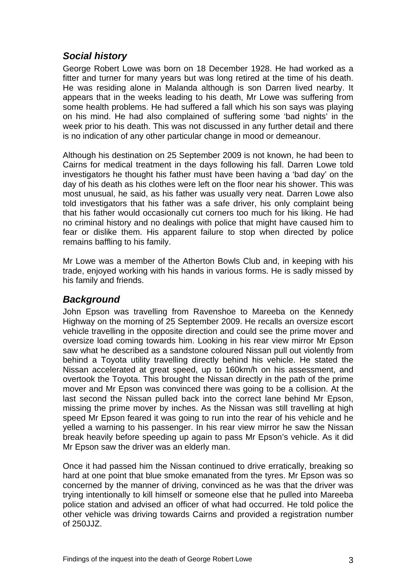### <span id="page-4-0"></span>*Social history*

George Robert Lowe was born on 18 December 1928. He had worked as a fitter and turner for many years but was long retired at the time of his death. He was residing alone in Malanda although is son Darren lived nearby. It appears that in the weeks leading to his death, Mr Lowe was suffering from some health problems. He had suffered a fall which his son says was playing on his mind. He had also complained of suffering some 'bad nights' in the week prior to his death. This was not discussed in any further detail and there is no indication of any other particular change in mood or demeanour.

Although his destination on 25 September 2009 is not known, he had been to Cairns for medical treatment in the days following his fall. Darren Lowe told investigators he thought his father must have been having a 'bad day' on the day of his death as his clothes were left on the floor near his shower. This was most unusual, he said, as his father was usually very neat. Darren Lowe also told investigators that his father was a safe driver, his only complaint being that his father would occasionally cut corners too much for his liking. He had no criminal history and no dealings with police that might have caused him to fear or dislike them. His apparent failure to stop when directed by police remains baffling to his family.

Mr Lowe was a member of the Atherton Bowls Club and, in keeping with his trade, enjoyed working with his hands in various forms. He is sadly missed by his family and friends.

#### *Background*

John Epson was travelling from Ravenshoe to Mareeba on the Kennedy Highway on the morning of 25 September 2009. He recalls an oversize escort vehicle travelling in the opposite direction and could see the prime mover and oversize load coming towards him. Looking in his rear view mirror Mr Epson saw what he described as a sandstone coloured Nissan pull out violently from behind a Toyota utility travelling directly behind his vehicle. He stated the Nissan accelerated at great speed, up to 160km/h on his assessment, and overtook the Toyota. This brought the Nissan directly in the path of the prime mover and Mr Epson was convinced there was going to be a collision. At the last second the Nissan pulled back into the correct lane behind Mr Epson, missing the prime mover by inches. As the Nissan was still travelling at high speed Mr Epson feared it was going to run into the rear of his vehicle and he yelled a warning to his passenger. In his rear view mirror he saw the Nissan break heavily before speeding up again to pass Mr Epson's vehicle. As it did Mr Epson saw the driver was an elderly man.

Once it had passed him the Nissan continued to drive erratically, breaking so hard at one point that blue smoke emanated from the tyres. Mr Epson was so concerned by the manner of driving, convinced as he was that the driver was trying intentionally to kill himself or someone else that he pulled into Mareeba police station and advised an officer of what had occurred. He told police the other vehicle was driving towards Cairns and provided a registration number of 250JJZ.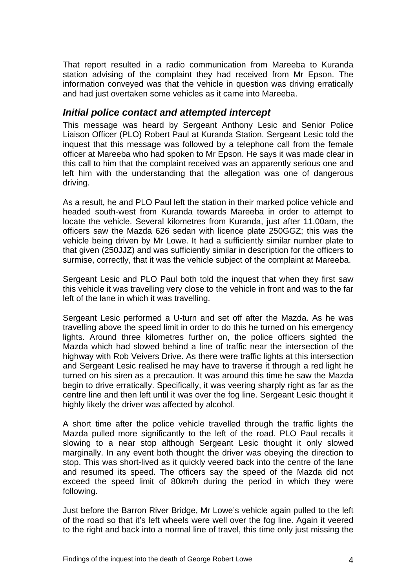<span id="page-5-0"></span>That report resulted in a radio communication from Mareeba to Kuranda station advising of the complaint they had received from Mr Epson. The information conveyed was that the vehicle in question was driving erratically and had just overtaken some vehicles as it came into Mareeba.

#### *Initial police contact and attempted intercept*

This message was heard by Sergeant Anthony Lesic and Senior Police Liaison Officer (PLO) Robert Paul at Kuranda Station. Sergeant Lesic told the inquest that this message was followed by a telephone call from the female officer at Mareeba who had spoken to Mr Epson. He says it was made clear in this call to him that the complaint received was an apparently serious one and left him with the understanding that the allegation was one of dangerous driving.

As a result, he and PLO Paul left the station in their marked police vehicle and headed south-west from Kuranda towards Mareeba in order to attempt to locate the vehicle. Several kilometres from Kuranda, just after 11.00am, the officers saw the Mazda 626 sedan with licence plate 250GGZ; this was the vehicle being driven by Mr Lowe. It had a sufficiently similar number plate to that given (250JJZ) and was sufficiently similar in description for the officers to surmise, correctly, that it was the vehicle subject of the complaint at Mareeba.

Sergeant Lesic and PLO Paul both told the inquest that when they first saw this vehicle it was travelling very close to the vehicle in front and was to the far left of the lane in which it was travelling.

Sergeant Lesic performed a U-turn and set off after the Mazda. As he was travelling above the speed limit in order to do this he turned on his emergency lights. Around three kilometres further on, the police officers sighted the Mazda which had slowed behind a line of traffic near the intersection of the highway with Rob Veivers Drive. As there were traffic lights at this intersection and Sergeant Lesic realised he may have to traverse it through a red light he turned on his siren as a precaution. It was around this time he saw the Mazda begin to drive erratically. Specifically, it was veering sharply right as far as the centre line and then left until it was over the fog line. Sergeant Lesic thought it highly likely the driver was affected by alcohol.

A short time after the police vehicle travelled through the traffic lights the Mazda pulled more significantly to the left of the road. PLO Paul recalls it slowing to a near stop although Sergeant Lesic thought it only slowed marginally. In any event both thought the driver was obeying the direction to stop. This was short-lived as it quickly veered back into the centre of the lane and resumed its speed. The officers say the speed of the Mazda did not exceed the speed limit of 80km/h during the period in which they were following.

Just before the Barron River Bridge, Mr Lowe's vehicle again pulled to the left of the road so that it's left wheels were well over the fog line. Again it veered to the right and back into a normal line of travel, this time only just missing the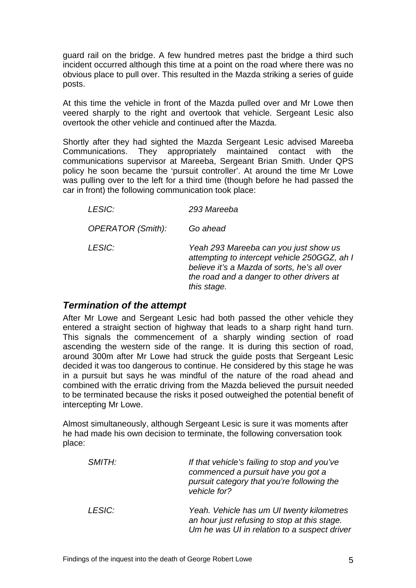<span id="page-6-0"></span>guard rail on the bridge. A few hundred metres past the bridge a third such incident occurred although this time at a point on the road where there was no obvious place to pull over. This resulted in the Mazda striking a series of guide posts.

At this time the vehicle in front of the Mazda pulled over and Mr Lowe then veered sharply to the right and overtook that vehicle. Sergeant Lesic also overtook the other vehicle and continued after the Mazda.

Shortly after they had sighted the Mazda Sergeant Lesic advised Mareeba Communications. They appropriately maintained contact with the communications supervisor at Mareeba, Sergeant Brian Smith. Under QPS policy he soon became the 'pursuit controller'. At around the time Mr Lowe was pulling over to the left for a third time (though before he had passed the car in front) the following communication took place:

| <i>LESIC:</i>     | 293 Mareeba                                                                                                                                                                                       |
|-------------------|---------------------------------------------------------------------------------------------------------------------------------------------------------------------------------------------------|
| OPERATOR (Smith): | Go ahead                                                                                                                                                                                          |
| <i>LESIC:</i>     | Yeah 293 Mareeba can you just show us<br>attempting to intercept vehicle 250GGZ, ah I<br>believe it's a Mazda of sorts, he's all over<br>the road and a danger to other drivers at<br>this stage. |

#### *Termination of the attempt*

After Mr Lowe and Sergeant Lesic had both passed the other vehicle they entered a straight section of highway that leads to a sharp right hand turn. This signals the commencement of a sharply winding section of road ascending the western side of the range. It is during this section of road, around 300m after Mr Lowe had struck the guide posts that Sergeant Lesic decided it was too dangerous to continue. He considered by this stage he was in a pursuit but says he was mindful of the nature of the road ahead and combined with the erratic driving from the Mazda believed the pursuit needed to be terminated because the risks it posed outweighed the potential benefit of intercepting Mr Lowe.

Almost simultaneously, although Sergeant Lesic is sure it was moments after he had made his own decision to terminate, the following conversation took place:

| SMITH: | If that vehicle's failing to stop and you've<br>commenced a pursuit have you got a<br>pursuit category that you're following the<br>vehicle for? |
|--------|--------------------------------------------------------------------------------------------------------------------------------------------------|
| LESIC: | Yeah. Vehicle has um UI twenty kilometres<br>an hour just refusing to stop at this stage.<br>Um he was UI in relation to a suspect driver        |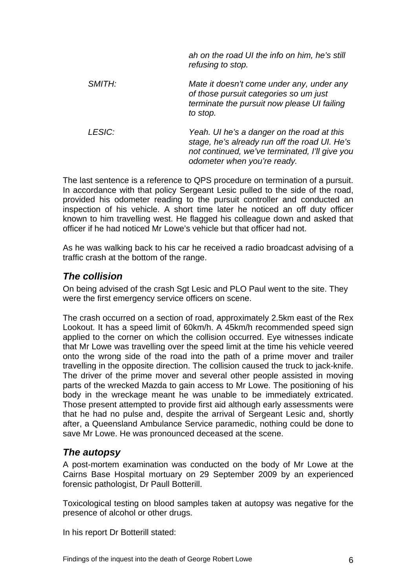<span id="page-7-0"></span>

|               | ah on the road UI the info on him, he's still<br>refusing to stop.                                                                                                           |
|---------------|------------------------------------------------------------------------------------------------------------------------------------------------------------------------------|
| SMITH:        | Mate it doesn't come under any, under any<br>of those pursuit categories so um just<br>terminate the pursuit now please UI failing<br>to stop.                               |
| <b>LESIC:</b> | Yeah. UI he's a danger on the road at this<br>stage, he's already run off the road UI. He's<br>not continued, we've terminated, I'll give you<br>odometer when you're ready. |

The last sentence is a reference to QPS procedure on termination of a pursuit. In accordance with that policy Sergeant Lesic pulled to the side of the road, provided his odometer reading to the pursuit controller and conducted an inspection of his vehicle. A short time later he noticed an off duty officer known to him travelling west. He flagged his colleague down and asked that officer if he had noticed Mr Lowe's vehicle but that officer had not.

As he was walking back to his car he received a radio broadcast advising of a traffic crash at the bottom of the range.

#### *The collision*

On being advised of the crash Sgt Lesic and PLO Paul went to the site. They were the first emergency service officers on scene.

The crash occurred on a section of road, approximately 2.5km east of the Rex Lookout. It has a speed limit of 60km/h. A 45km/h recommended speed sign applied to the corner on which the collision occurred. Eye witnesses indicate that Mr Lowe was travelling over the speed limit at the time his vehicle veered onto the wrong side of the road into the path of a prime mover and trailer travelling in the opposite direction. The collision caused the truck to jack-knife. The driver of the prime mover and several other people assisted in moving parts of the wrecked Mazda to gain access to Mr Lowe. The positioning of his body in the wreckage meant he was unable to be immediately extricated. Those present attempted to provide first aid although early assessments were that he had no pulse and, despite the arrival of Sergeant Lesic and, shortly after, a Queensland Ambulance Service paramedic, nothing could be done to save Mr Lowe. He was pronounced deceased at the scene.

#### *The autopsy*

A post-mortem examination was conducted on the body of Mr Lowe at the Cairns Base Hospital mortuary on 29 September 2009 by an experienced forensic pathologist, Dr Paull Botterill.

Toxicological testing on blood samples taken at autopsy was negative for the presence of alcohol or other drugs.

In his report Dr Botterill stated: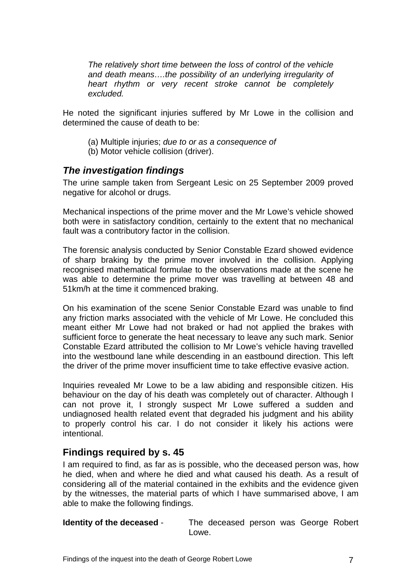<span id="page-8-0"></span>*The relatively short time between the loss of control of the vehicle and death means….the possibility of an underlying irregularity of heart rhythm or very recent stroke cannot be completely excluded.*

He noted the significant injuries suffered by Mr Lowe in the collision and determined the cause of death to be:

- (a) Multiple injuries; *due to or as a consequence of*
- (b) Motor vehicle collision (driver).

#### *The investigation findings*

The urine sample taken from Sergeant Lesic on 25 September 2009 proved negative for alcohol or drugs.

Mechanical inspections of the prime mover and the Mr Lowe's vehicle showed both were in satisfactory condition, certainly to the extent that no mechanical fault was a contributory factor in the collision.

The forensic analysis conducted by Senior Constable Ezard showed evidence of sharp braking by the prime mover involved in the collision. Applying recognised mathematical formulae to the observations made at the scene he was able to determine the prime mover was travelling at between 48 and 51km/h at the time it commenced braking.

On his examination of the scene Senior Constable Ezard was unable to find any friction marks associated with the vehicle of Mr Lowe. He concluded this meant either Mr Lowe had not braked or had not applied the brakes with sufficient force to generate the heat necessary to leave any such mark. Senior Constable Ezard attributed the collision to Mr Lowe's vehicle having travelled into the westbound lane while descending in an eastbound direction. This left the driver of the prime mover insufficient time to take effective evasive action.

Inquiries revealed Mr Lowe to be a law abiding and responsible citizen. His behaviour on the day of his death was completely out of character. Although I can not prove it, I strongly suspect Mr Lowe suffered a sudden and undiagnosed health related event that degraded his judgment and his ability to properly control his car. I do not consider it likely his actions were intentional.

#### **Findings required by s. 45**

I am required to find, as far as is possible, who the deceased person was, how he died, when and where he died and what caused his death. As a result of considering all of the material contained in the exhibits and the evidence given by the witnesses, the material parts of which I have summarised above, I am able to make the following findings.

**Identity of the deceased** - The deceased person was George Robert Lowe.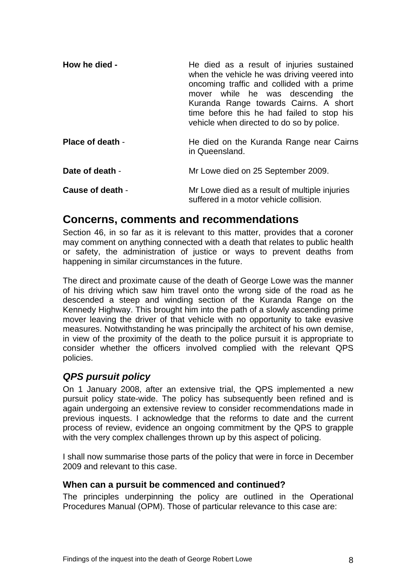<span id="page-9-0"></span>

| How he died -           | He died as a result of injuries sustained<br>when the vehicle he was driving veered into<br>oncoming traffic and collided with a prime<br>mover while he was descending the<br>Kuranda Range towards Cairns. A short<br>time before this he had failed to stop his<br>vehicle when directed to do so by police. |
|-------------------------|-----------------------------------------------------------------------------------------------------------------------------------------------------------------------------------------------------------------------------------------------------------------------------------------------------------------|
| <b>Place of death -</b> | He died on the Kuranda Range near Cairns<br>in Queensland.                                                                                                                                                                                                                                                      |
| Date of death -         | Mr Lowe died on 25 September 2009.                                                                                                                                                                                                                                                                              |
| Cause of death -        | Mr Lowe died as a result of multiple injuries<br>suffered in a motor vehicle collision.                                                                                                                                                                                                                         |

#### **Concerns, comments and recommendations**

Section 46, in so far as it is relevant to this matter, provides that a coroner may comment on anything connected with a death that relates to public health or safety, the administration of justice or ways to prevent deaths from happening in similar circumstances in the future.

The direct and proximate cause of the death of George Lowe was the manner of his driving which saw him travel onto the wrong side of the road as he descended a steep and winding section of the Kuranda Range on the Kennedy Highway. This brought him into the path of a slowly ascending prime mover leaving the driver of that vehicle with no opportunity to take evasive measures. Notwithstanding he was principally the architect of his own demise, in view of the proximity of the death to the police pursuit it is appropriate to consider whether the officers involved complied with the relevant QPS policies.

#### *QPS pursuit policy*

On 1 January 2008, after an extensive trial, the QPS implemented a new pursuit policy state-wide. The policy has subsequently been refined and is again undergoing an extensive review to consider recommendations made in previous inquests. I acknowledge that the reforms to date and the current process of review, evidence an ongoing commitment by the QPS to grapple with the very complex challenges thrown up by this aspect of policing.

I shall now summarise those parts of the policy that were in force in December 2009 and relevant to this case.

#### **When can a pursuit be commenced and continued?**

The principles underpinning the policy are outlined in the Operational Procedures Manual (OPM). Those of particular relevance to this case are: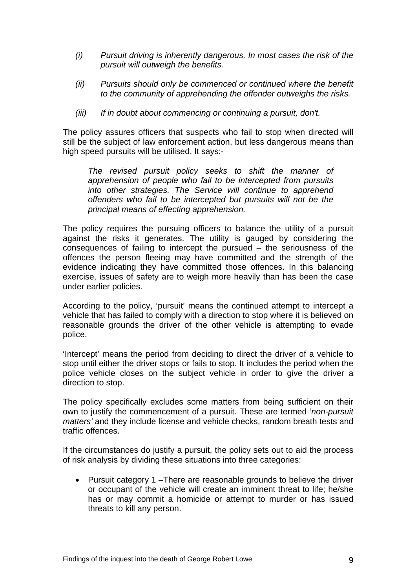- *(i) Pursuit driving is inherently dangerous. In most cases the risk of the pursuit will outweigh the benefits.*
- *(ii) Pursuits should only be commenced or continued where the benefit to the community of apprehending the offender outweighs the risks.*
- *(iii) If in doubt about commencing or continuing a pursuit, don't.*

The policy assures officers that suspects who fail to stop when directed will still be the subject of law enforcement action, but less dangerous means than high speed pursuits will be utilised. It says:-

*The revised pursuit policy seeks to shift the manner of apprehension of people who fail to be intercepted from pursuits into other strategies. The Service will continue to apprehend offenders who fail to be intercepted but pursuits will not be the principal means of effecting apprehension.* 

The policy requires the pursuing officers to balance the utility of a pursuit against the risks it generates. The utility is gauged by considering the consequences of failing to intercept the pursued – the seriousness of the offences the person fleeing may have committed and the strength of the evidence indicating they have committed those offences. In this balancing exercise, issues of safety are to weigh more heavily than has been the case under earlier policies.

According to the policy, 'pursuit' means the continued attempt to intercept a vehicle that has failed to comply with a direction to stop where it is believed on reasonable grounds the driver of the other vehicle is attempting to evade police.

'Intercept' means the period from deciding to direct the driver of a vehicle to stop until either the driver stops or fails to stop. It includes the period when the police vehicle closes on the subject vehicle in order to give the driver a direction to stop.

The policy specifically excludes some matters from being sufficient on their own to justify the commencement of a pursuit. These are termed '*non-pursuit matters'* and they include license and vehicle checks, random breath tests and traffic offences.

If the circumstances do justify a pursuit, the policy sets out to aid the process of risk analysis by dividing these situations into three categories:

• Pursuit category 1 –There are reasonable grounds to believe the driver or occupant of the vehicle will create an imminent threat to life; he/she has or may commit a homicide or attempt to murder or has issued threats to kill any person.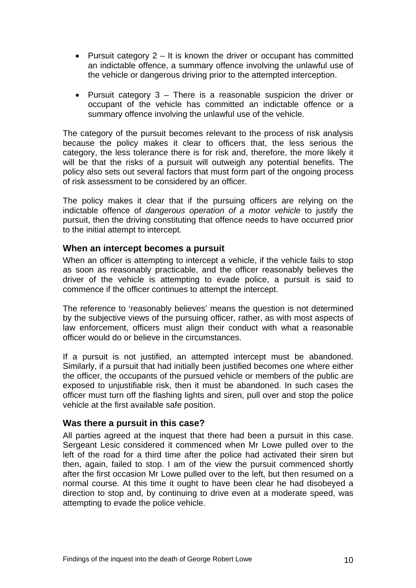- <span id="page-11-0"></span>• Pursuit category  $2 - It$  is known the driver or occupant has committed an indictable offence, a summary offence involving the unlawful use of the vehicle or dangerous driving prior to the attempted interception.
- Pursuit category 3 There is a reasonable suspicion the driver or occupant of the vehicle has committed an indictable offence or a summary offence involving the unlawful use of the vehicle.

The category of the pursuit becomes relevant to the process of risk analysis because the policy makes it clear to officers that, the less serious the category, the less tolerance there is for risk and, therefore, the more likely it will be that the risks of a pursuit will outweigh any potential benefits. The policy also sets out several factors that must form part of the ongoing process of risk assessment to be considered by an officer.

The policy makes it clear that if the pursuing officers are relying on the indictable offence of *dangerous operation of a motor vehicle* to justify the pursuit, then the driving constituting that offence needs to have occurred prior to the initial attempt to intercept.

#### **When an intercept becomes a pursuit**

When an officer is attempting to intercept a vehicle, if the vehicle fails to stop as soon as reasonably practicable, and the officer reasonably believes the driver of the vehicle is attempting to evade police, a pursuit is said to commence if the officer continues to attempt the intercept.

The reference to 'reasonably believes' means the question is not determined by the subjective views of the pursuing officer, rather, as with most aspects of law enforcement, officers must align their conduct with what a reasonable officer would do or believe in the circumstances.

If a pursuit is not justified, an attempted intercept must be abandoned. Similarly, if a pursuit that had initially been justified becomes one where either the officer, the occupants of the pursued vehicle or members of the public are exposed to unjustifiable risk, then it must be abandoned. In such cases the officer must turn off the flashing lights and siren, pull over and stop the police vehicle at the first available safe position.

#### **Was there a pursuit in this case?**

All parties agreed at the inquest that there had been a pursuit in this case. Sergeant Lesic considered it commenced when Mr Lowe pulled over to the left of the road for a third time after the police had activated their siren but then, again, failed to stop. I am of the view the pursuit commenced shortly after the first occasion Mr Lowe pulled over to the left, but then resumed on a normal course. At this time it ought to have been clear he had disobeyed a direction to stop and, by continuing to drive even at a moderate speed, was attempting to evade the police vehicle.